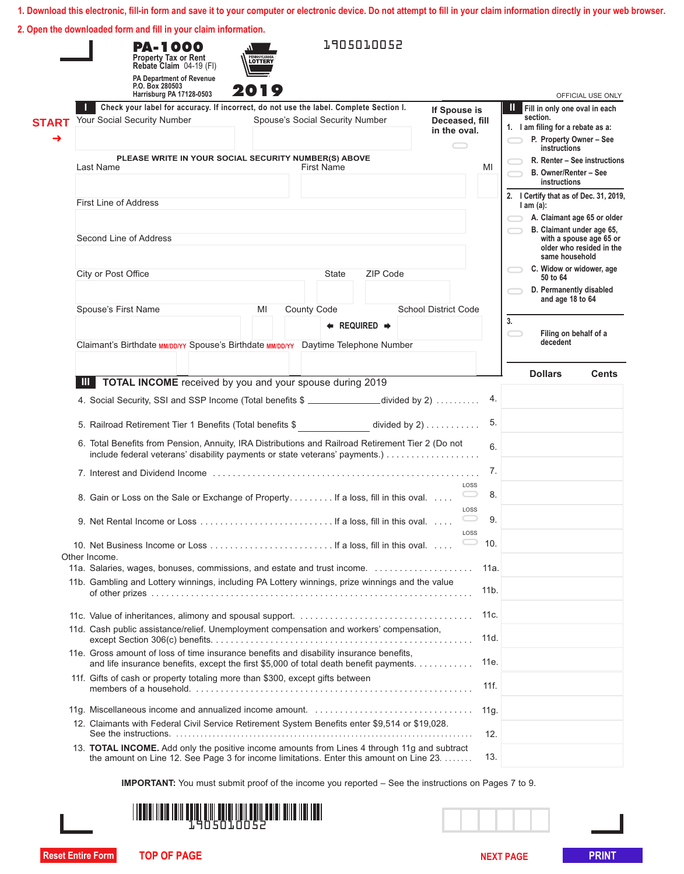|  | 2. Open the downloaded form and fill in your claim information. |  |  |  |
|--|-----------------------------------------------------------------|--|--|--|
|  |                                                                 |  |  |  |

|                   | <b>PA-1000</b><br>Property Tax or Rent<br>Rebate Claim 04-19 (FI)<br>PA Department of Revenue<br>P.O. Box 280503<br>Harrisburg PA 17128-0503                                            | LOTTERY<br>2019 |                                 | 1905010052                          |                                                |                 |                                                                                                                     | OFFICIAL USE ONLY                                    |
|-------------------|-----------------------------------------------------------------------------------------------------------------------------------------------------------------------------------------|-----------------|---------------------------------|-------------------------------------|------------------------------------------------|-----------------|---------------------------------------------------------------------------------------------------------------------|------------------------------------------------------|
| <b>START</b><br>→ | Check your label for accuracy. If incorrect, do not use the label. Complete Section I.<br>Your Social Security Number                                                                   |                 | Spouse's Social Security Number |                                     | If Spouse is<br>Deceased, fill<br>in the oval. |                 | <b>II</b> Fill in only one oval in each<br>section.<br>1. I am filing for a rebate as a:<br>P. Property Owner - See |                                                      |
|                   | PLEASE WRITE IN YOUR SOCIAL SECURITY NUMBER(S) ABOVE                                                                                                                                    |                 |                                 |                                     | $\qquad \qquad \qquad \qquad$                  |                 | instructions                                                                                                        |                                                      |
|                   | Last Name                                                                                                                                                                               |                 | <b>First Name</b>               |                                     |                                                | MI              | B. Owner/Renter - See<br>instructions                                                                               | R. Renter - See instructions                         |
|                   | <b>First Line of Address</b>                                                                                                                                                            |                 |                                 |                                     |                                                |                 | 2. I Certify that as of Dec. 31, 2019,<br>$l$ am $(a)$ :                                                            |                                                      |
|                   |                                                                                                                                                                                         |                 |                                 |                                     |                                                |                 |                                                                                                                     | A. Claimant age 65 or older                          |
|                   | Second Line of Address                                                                                                                                                                  |                 |                                 |                                     |                                                |                 |                                                                                                                     | B. Claimant under age 65,<br>with a spouse age 65 or |
|                   |                                                                                                                                                                                         |                 |                                 |                                     |                                                |                 | same household                                                                                                      | older who resided in the                             |
|                   | City or Post Office                                                                                                                                                                     |                 | State                           | ZIP Code                            |                                                |                 | 50 to 64                                                                                                            | C. Widow or widower, age                             |
|                   |                                                                                                                                                                                         |                 |                                 |                                     |                                                |                 | D. Permanently disabled<br>and age 18 to 64                                                                         |                                                      |
|                   | Spouse's First Name                                                                                                                                                                     | MI              | <b>County Code</b>              |                                     | <b>School District Code</b>                    |                 |                                                                                                                     |                                                      |
|                   |                                                                                                                                                                                         |                 |                                 | $\leftarrow$ REQUIRED $\rightarrow$ |                                                |                 | 3.                                                                                                                  | Filing on behalf of a                                |
|                   | Claimant's Birthdate MM/DD/YY Spouse's Birthdate MM/DD/YY Daytime Telephone Number                                                                                                      |                 |                                 |                                     |                                                |                 | decedent                                                                                                            |                                                      |
|                   |                                                                                                                                                                                         |                 |                                 |                                     |                                                |                 | <b>Dollars</b>                                                                                                      | <b>Cents</b>                                         |
|                   | TOTAL INCOME received by you and your spouse during 2019<br>Ш                                                                                                                           |                 |                                 |                                     |                                                |                 |                                                                                                                     |                                                      |
|                   | 4. Social Security, SSI and SSP Income (Total benefits \$ ______________divided by 2)                                                                                                   |                 |                                 |                                     |                                                | 4.              |                                                                                                                     |                                                      |
|                   | 5. Railroad Retirement Tier 1 Benefits (Total benefits \$                                                                                                                               |                 |                                 |                                     | divided by $2) \ldots \ldots \ldots$           | 5.              |                                                                                                                     |                                                      |
|                   | 6. Total Benefits from Pension, Annuity, IRA Distributions and Railroad Retirement Tier 2 (Do not                                                                                       |                 |                                 |                                     |                                                | 6.              |                                                                                                                     |                                                      |
|                   |                                                                                                                                                                                         |                 |                                 |                                     |                                                | 7.              |                                                                                                                     |                                                      |
|                   | 8. Gain or Loss on the Sale or Exchange of Property If a loss, fill in this oval                                                                                                        |                 |                                 |                                     | LOSS                                           | 8.              |                                                                                                                     |                                                      |
|                   |                                                                                                                                                                                         |                 |                                 |                                     | LOSS                                           |                 |                                                                                                                     |                                                      |
|                   |                                                                                                                                                                                         |                 |                                 |                                     | LOSS                                           | 9.              |                                                                                                                     |                                                      |
|                   |                                                                                                                                                                                         |                 |                                 |                                     |                                                | 10.             |                                                                                                                     |                                                      |
|                   | Other Income.                                                                                                                                                                           |                 |                                 |                                     |                                                | 11a.            |                                                                                                                     |                                                      |
|                   | 11b. Gambling and Lottery winnings, including PA Lottery winnings, prize winnings and the value                                                                                         |                 |                                 |                                     |                                                | 11 <sub>b</sub> |                                                                                                                     |                                                      |
|                   |                                                                                                                                                                                         |                 |                                 |                                     |                                                | 11c.            |                                                                                                                     |                                                      |
|                   | 11d. Cash public assistance/relief. Unemployment compensation and workers' compensation,                                                                                                |                 |                                 |                                     |                                                | 11d.            |                                                                                                                     |                                                      |
|                   | 11e. Gross amount of loss of time insurance benefits and disability insurance benefits,<br>and life insurance benefits, except the first \$5,000 of total death benefit payments.       |                 |                                 |                                     |                                                | 11e.            |                                                                                                                     |                                                      |
|                   | 11f. Gifts of cash or property totaling more than \$300, except gifts between                                                                                                           |                 |                                 |                                     |                                                | 11f.            |                                                                                                                     |                                                      |
|                   |                                                                                                                                                                                         |                 |                                 |                                     |                                                | 11g.            |                                                                                                                     |                                                      |
|                   | 12. Claimants with Federal Civil Service Retirement System Benefits enter \$9,514 or \$19,028.                                                                                          |                 |                                 |                                     |                                                | 12.             |                                                                                                                     |                                                      |
|                   | 13. TOTAL INCOME. Add only the positive income amounts from Lines 4 through 11g and subtract<br>the amount on Line 12. See Page 3 for income limitations. Enter this amount on Line 23. |                 |                                 |                                     |                                                | 13.             |                                                                                                                     |                                                      |
|                   |                                                                                                                                                                                         |                 |                                 |                                     |                                                |                 |                                                                                                                     |                                                      |
|                   | <b>IMPORTANT:</b> You must submit proof of the income you reported – See the instructions on Pages 7 to 9.                                                                              |                 |                                 |                                     |                                                |                 |                                                                                                                     |                                                      |